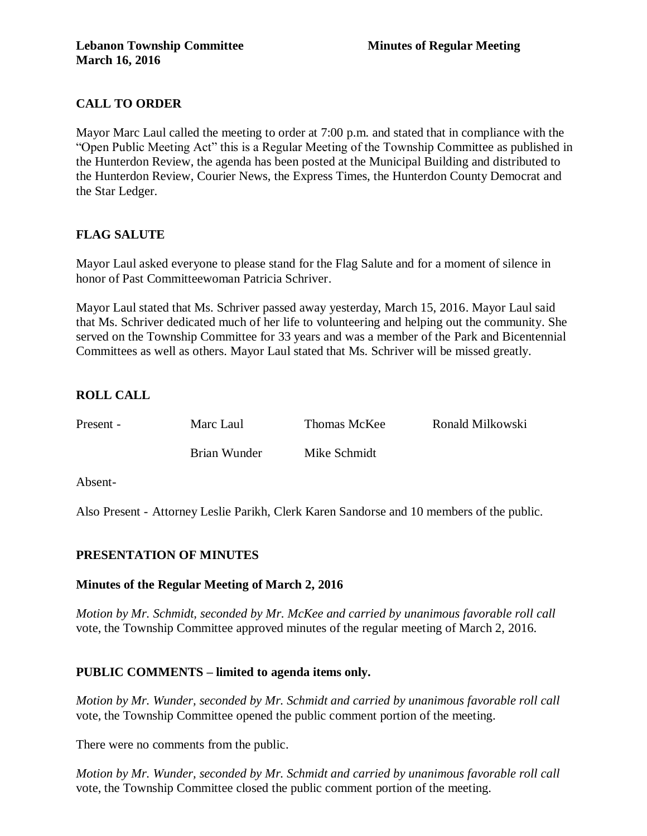# **CALL TO ORDER**

Mayor Marc Laul called the meeting to order at 7:00 p.m. and stated that in compliance with the "Open Public Meeting Act" this is a Regular Meeting of the Township Committee as published in the Hunterdon Review, the agenda has been posted at the Municipal Building and distributed to the Hunterdon Review, Courier News, the Express Times, the Hunterdon County Democrat and the Star Ledger.

# **FLAG SALUTE**

Mayor Laul asked everyone to please stand for the Flag Salute and for a moment of silence in honor of Past Committeewoman Patricia Schriver.

Mayor Laul stated that Ms. Schriver passed away yesterday, March 15, 2016. Mayor Laul said that Ms. Schriver dedicated much of her life to volunteering and helping out the community. She served on the Township Committee for 33 years and was a member of the Park and Bicentennial Committees as well as others. Mayor Laul stated that Ms. Schriver will be missed greatly.

# **ROLL CALL**

Present - Marc Laul Thomas McKee Ronald Milkowski Brian Wunder Mike Schmidt

Absent-

Also Present - Attorney Leslie Parikh, Clerk Karen Sandorse and 10 members of the public.

# **PRESENTATION OF MINUTES**

# **Minutes of the Regular Meeting of March 2, 2016**

*Motion by Mr. Schmidt, seconded by Mr. McKee and carried by unanimous favorable roll call*  vote, the Township Committee approved minutes of the regular meeting of March 2, 2016.

# **PUBLIC COMMENTS – limited to agenda items only.**

*Motion by Mr. Wunder, seconded by Mr. Schmidt and carried by unanimous favorable roll call*  vote, the Township Committee opened the public comment portion of the meeting.

There were no comments from the public.

*Motion by Mr. Wunder, seconded by Mr. Schmidt and carried by unanimous favorable roll call*  vote, the Township Committee closed the public comment portion of the meeting.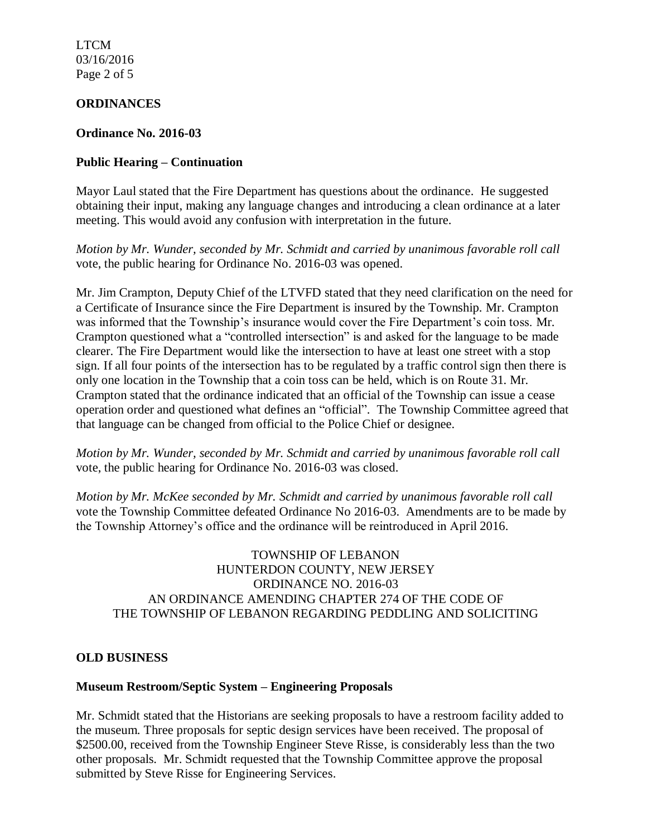LTCM 03/16/2016 Page 2 of 5

#### **ORDINANCES**

#### **Ordinance No. 2016-03**

### **Public Hearing – Continuation**

Mayor Laul stated that the Fire Department has questions about the ordinance. He suggested obtaining their input, making any language changes and introducing a clean ordinance at a later meeting. This would avoid any confusion with interpretation in the future.

*Motion by Mr. Wunder, seconded by Mr. Schmidt and carried by unanimous favorable roll call*  vote, the public hearing for Ordinance No. 2016-03 was opened.

Mr. Jim Crampton, Deputy Chief of the LTVFD stated that they need clarification on the need for a Certificate of Insurance since the Fire Department is insured by the Township. Mr. Crampton was informed that the Township's insurance would cover the Fire Department's coin toss. Mr. Crampton questioned what a "controlled intersection" is and asked for the language to be made clearer. The Fire Department would like the intersection to have at least one street with a stop sign. If all four points of the intersection has to be regulated by a traffic control sign then there is only one location in the Township that a coin toss can be held, which is on Route 31. Mr. Crampton stated that the ordinance indicated that an official of the Township can issue a cease operation order and questioned what defines an "official". The Township Committee agreed that that language can be changed from official to the Police Chief or designee.

*Motion by Mr. Wunder, seconded by Mr. Schmidt and carried by unanimous favorable roll call*  vote, the public hearing for Ordinance No. 2016-03 was closed.

*Motion by Mr. McKee seconded by Mr. Schmidt and carried by unanimous favorable roll call*  vote the Township Committee defeated Ordinance No 2016-03. Amendments are to be made by the Township Attorney's office and the ordinance will be reintroduced in April 2016.

### TOWNSHIP OF LEBANON HUNTERDON COUNTY, NEW JERSEY ORDINANCE NO. 2016-03 AN ORDINANCE AMENDING CHAPTER 274 OF THE CODE OF THE TOWNSHIP OF LEBANON REGARDING PEDDLING AND SOLICITING

#### **OLD BUSINESS**

#### **Museum Restroom/Septic System – Engineering Proposals**

Mr. Schmidt stated that the Historians are seeking proposals to have a restroom facility added to the museum. Three proposals for septic design services have been received. The proposal of \$2500.00, received from the Township Engineer Steve Risse, is considerably less than the two other proposals. Mr. Schmidt requested that the Township Committee approve the proposal submitted by Steve Risse for Engineering Services.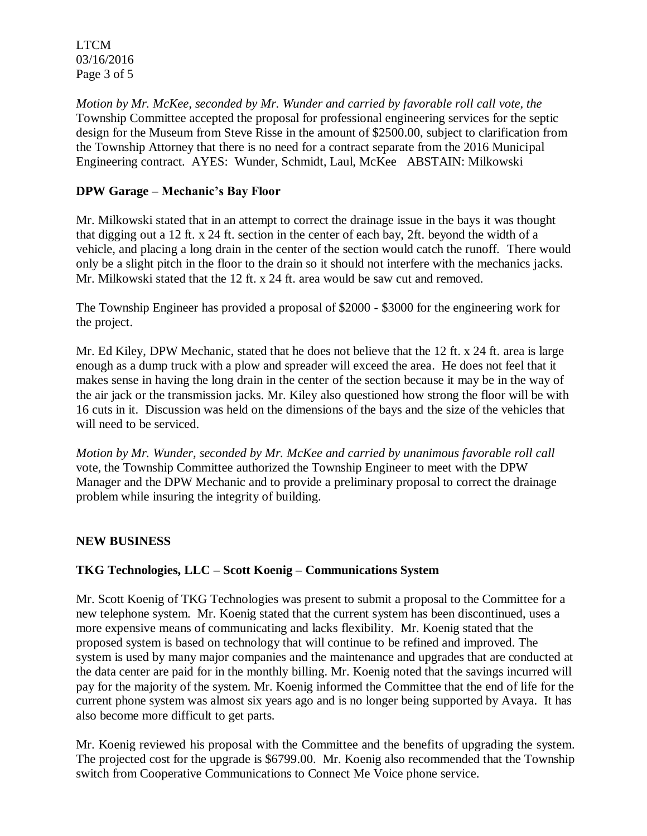LTCM 03/16/2016 Page 3 of 5

*Motion by Mr. McKee, seconded by Mr. Wunder and carried by favorable roll call vote, the*  Township Committee accepted the proposal for professional engineering services for the septic design for the Museum from Steve Risse in the amount of \$2500.00, subject to clarification from the Township Attorney that there is no need for a contract separate from the 2016 Municipal Engineering contract. AYES: Wunder, Schmidt, Laul, McKee ABSTAIN: Milkowski

# **DPW Garage – Mechanic's Bay Floor**

Mr. Milkowski stated that in an attempt to correct the drainage issue in the bays it was thought that digging out a 12 ft. x 24 ft. section in the center of each bay, 2ft. beyond the width of a vehicle, and placing a long drain in the center of the section would catch the runoff. There would only be a slight pitch in the floor to the drain so it should not interfere with the mechanics jacks. Mr. Milkowski stated that the 12 ft. x 24 ft. area would be saw cut and removed.

The Township Engineer has provided a proposal of \$2000 - \$3000 for the engineering work for the project.

Mr. Ed Kiley, DPW Mechanic, stated that he does not believe that the 12 ft. x 24 ft. area is large enough as a dump truck with a plow and spreader will exceed the area. He does not feel that it makes sense in having the long drain in the center of the section because it may be in the way of the air jack or the transmission jacks. Mr. Kiley also questioned how strong the floor will be with 16 cuts in it. Discussion was held on the dimensions of the bays and the size of the vehicles that will need to be serviced.

*Motion by Mr. Wunder, seconded by Mr. McKee and carried by unanimous favorable roll call*  vote, the Township Committee authorized the Township Engineer to meet with the DPW Manager and the DPW Mechanic and to provide a preliminary proposal to correct the drainage problem while insuring the integrity of building.

# **NEW BUSINESS**

# **TKG Technologies, LLC – Scott Koenig – Communications System**

Mr. Scott Koenig of TKG Technologies was present to submit a proposal to the Committee for a new telephone system. Mr. Koenig stated that the current system has been discontinued, uses a more expensive means of communicating and lacks flexibility. Mr. Koenig stated that the proposed system is based on technology that will continue to be refined and improved. The system is used by many major companies and the maintenance and upgrades that are conducted at the data center are paid for in the monthly billing. Mr. Koenig noted that the savings incurred will pay for the majority of the system. Mr. Koenig informed the Committee that the end of life for the current phone system was almost six years ago and is no longer being supported by Avaya. It has also become more difficult to get parts.

Mr. Koenig reviewed his proposal with the Committee and the benefits of upgrading the system. The projected cost for the upgrade is \$6799.00. Mr. Koenig also recommended that the Township switch from Cooperative Communications to Connect Me Voice phone service.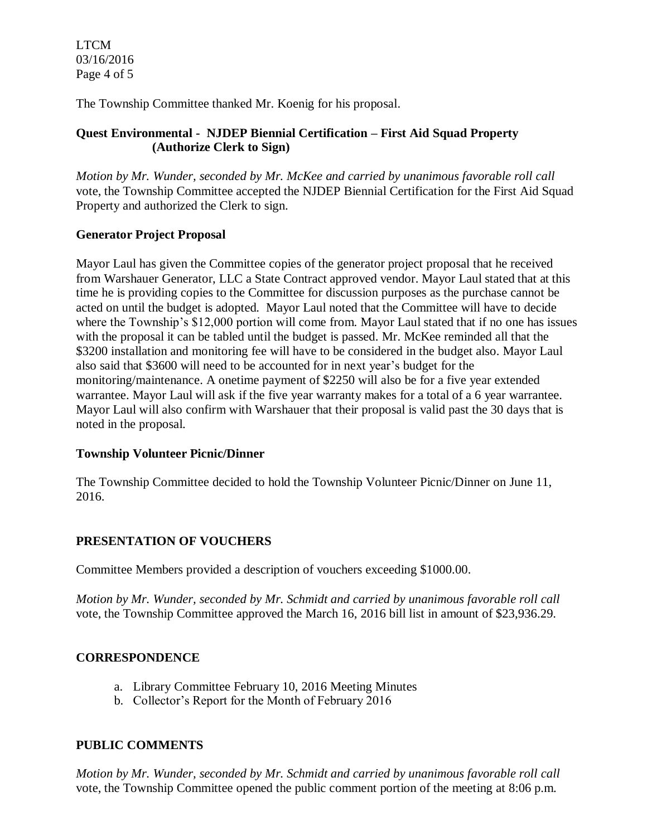LTCM 03/16/2016 Page 4 of 5

The Township Committee thanked Mr. Koenig for his proposal.

# **Quest Environmental - NJDEP Biennial Certification – First Aid Squad Property (Authorize Clerk to Sign)**

*Motion by Mr. Wunder, seconded by Mr. McKee and carried by unanimous favorable roll call*  vote, the Township Committee accepted the NJDEP Biennial Certification for the First Aid Squad Property and authorized the Clerk to sign.

# **Generator Project Proposal**

Mayor Laul has given the Committee copies of the generator project proposal that he received from Warshauer Generator, LLC a State Contract approved vendor. Mayor Laul stated that at this time he is providing copies to the Committee for discussion purposes as the purchase cannot be acted on until the budget is adopted. Mayor Laul noted that the Committee will have to decide where the Township's \$12,000 portion will come from. Mayor Laul stated that if no one has issues with the proposal it can be tabled until the budget is passed. Mr. McKee reminded all that the \$3200 installation and monitoring fee will have to be considered in the budget also. Mayor Laul also said that \$3600 will need to be accounted for in next year's budget for the monitoring/maintenance. A onetime payment of \$2250 will also be for a five year extended warrantee. Mayor Laul will ask if the five year warranty makes for a total of a 6 year warrantee. Mayor Laul will also confirm with Warshauer that their proposal is valid past the 30 days that is noted in the proposal.

# **Township Volunteer Picnic/Dinner**

The Township Committee decided to hold the Township Volunteer Picnic/Dinner on June 11, 2016.

# **PRESENTATION OF VOUCHERS**

Committee Members provided a description of vouchers exceeding \$1000.00.

*Motion by Mr. Wunder, seconded by Mr. Schmidt and carried by unanimous favorable roll call*  vote, the Township Committee approved the March 16, 2016 bill list in amount of \$23,936.29.

# **CORRESPONDENCE**

- a. Library Committee February 10, 2016 Meeting Minutes
- b. Collector's Report for the Month of February 2016

# **PUBLIC COMMENTS**

*Motion by Mr. Wunder, seconded by Mr. Schmidt and carried by unanimous favorable roll call* vote, the Township Committee opened the public comment portion of the meeting at 8:06 p.m.